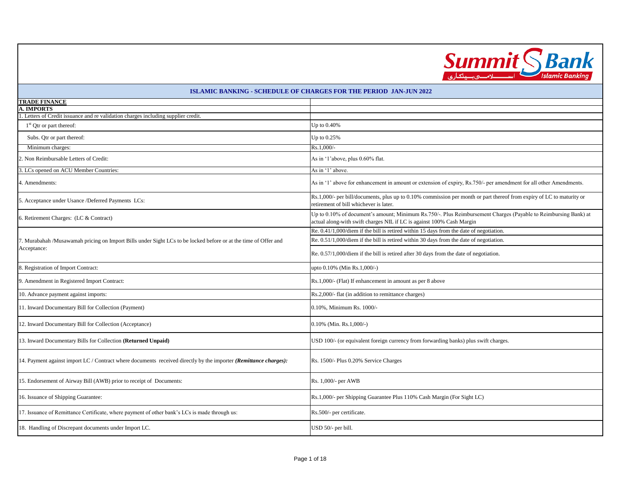| <i><b>UMMI</b></i> | sank           |
|--------------------|----------------|
|                    | slamic Banking |

| <b>ISLAMIC BANKING - SCHEDULE OF CHARGES FOR THE PERIOD JAN-JUN 2022</b>                                                       |                                                                                                                                                                                          |  |  |
|--------------------------------------------------------------------------------------------------------------------------------|------------------------------------------------------------------------------------------------------------------------------------------------------------------------------------------|--|--|
| <b>TRADE FINANCE</b>                                                                                                           |                                                                                                                                                                                          |  |  |
| <b>A. IMPORTS</b>                                                                                                              |                                                                                                                                                                                          |  |  |
| Letters of Credit issuance and re validation charges including supplier credit.                                                |                                                                                                                                                                                          |  |  |
| $1st$ Qtr or part thereof:                                                                                                     | Up to $0.40\%$                                                                                                                                                                           |  |  |
| Subs. Qtr or part thereof:                                                                                                     | Up to 0.25%                                                                                                                                                                              |  |  |
| Minimum charges:                                                                                                               | Rs.1,000/-                                                                                                                                                                               |  |  |
| . Non Reimbursable Letters of Credit:                                                                                          | As in '1'above, plus 0.60% flat.                                                                                                                                                         |  |  |
| . LCs opened on ACU Member Countries:                                                                                          | As in '1' above.                                                                                                                                                                         |  |  |
| 4. Amendments:                                                                                                                 | As in '1' above for enhancement in amount or extension of expiry, Rs.750/- per amendment for all other Amendments.                                                                       |  |  |
| 5. Acceptance under Usance /Deferred Payments LCs:                                                                             | Rs.1,000/- per bill/documents, plus up to 0.10% commission per month or part thereof from expiry of LC to maturity or<br>retirement of bill whichever is later.                          |  |  |
| 6. Retirement Charges: (LC & Contract)                                                                                         | Up to 0.10% of document's amount; Minimum Rs.750/-. Plus Reimbursement Charges (Payable to Reimbursing Bank) at<br>actual along-with swift charges NIL if LC is against 100% Cash Margin |  |  |
| 7. Murabahah /Musawamah pricing on Import Bills under Sight LCs to be locked before or at the time of Offer and<br>Acceptance: | Re. $0.41/1,000$ /diem if the bill is retired within 15 days from the date of negotiation.                                                                                               |  |  |
|                                                                                                                                | Re. 0.51/1,000/diem if the bill is retired within 30 days from the date of negotiation.                                                                                                  |  |  |
|                                                                                                                                | Re. 0.57/1,000/diem if the bill is retired after 30 days from the date of negotiation.                                                                                                   |  |  |
| 8. Registration of Import Contract:                                                                                            | upto 0.10% (Min Rs.1,000/-)                                                                                                                                                              |  |  |
| 9. Amendment in Registered Import Contract:                                                                                    | Rs.1,000/- (Flat) If enhancement in amount as per 8 above                                                                                                                                |  |  |
| 10. Advance payment against imports:                                                                                           | Rs.2,000/- flat (in addition to remittance charges)                                                                                                                                      |  |  |
| 11. Inward Documentary Bill for Collection (Payment)                                                                           | 0.10%, Minimum Rs. 1000/-                                                                                                                                                                |  |  |
| 12. Inward Documentary Bill for Collection (Acceptance)                                                                        | 0.10% (Min. Rs.1,000/-)                                                                                                                                                                  |  |  |
| 13. Inward Documentary Bills for Collection (Returned Unpaid)                                                                  | USD 100/- (or equivalent foreign currency from forwarding banks) plus swift charges.                                                                                                     |  |  |
| 14. Payment against import LC / Contract where documents received directly by the importer (Remittance charges):               | Rs. 1500/- Plus 0.20% Service Charges                                                                                                                                                    |  |  |
| 15. Endorsement of Airway Bill (AWB) prior to receipt of Documents:                                                            | Rs. 1,000/- per AWB                                                                                                                                                                      |  |  |
| 16. Issuance of Shipping Guarantee:                                                                                            | Rs.1,000/- per Shipping Guarantee Plus 110% Cash Margin (For Sight LC)                                                                                                                   |  |  |
| 17. Issuance of Remittance Certificate, where payment of other bank's LCs is made through us:                                  | Rs.500/- per certificate.                                                                                                                                                                |  |  |
| 18. Handling of Discrepant documents under Import LC.                                                                          | USD 50/- per bill.                                                                                                                                                                       |  |  |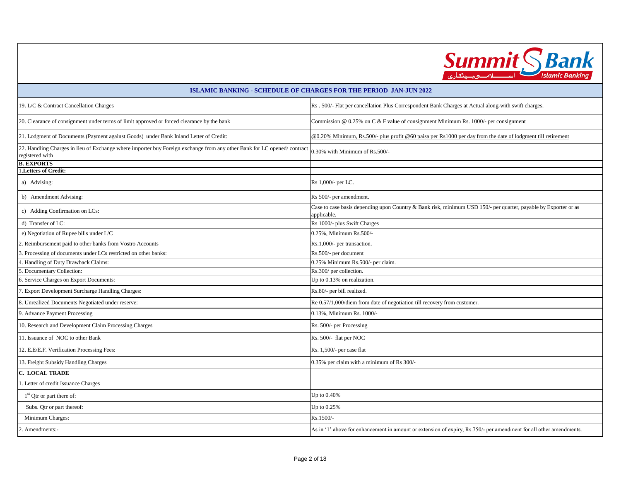

| <b>ISLAMIC BANKING - SCHEDULE OF CHARGES FOR THE PERIOD JAN-JUN 2022</b>                                                                   |                                                                                                                                |  |
|--------------------------------------------------------------------------------------------------------------------------------------------|--------------------------------------------------------------------------------------------------------------------------------|--|
| 19. L/C & Contract Cancellation Charges                                                                                                    | Rs . 500/- Flat per cancellation Plus Correspondent Bank Charges at Actual along-with swift charges.                           |  |
| 20. Clearance of consignment under terms of limit approved or forced clearance by the bank                                                 | Commission @ 0.25% on C & F value of consignment Minimum Rs. 1000/- per consignment                                            |  |
| 21. Lodgment of Documents (Payment against Goods) under Bank Inland Letter of Credit:                                                      | @0.20% Minimum, Rs.500/- plus profit @60 paisa per Rs1000 per day from the date of lodgment till retirement                    |  |
| 22. Handling Charges in lieu of Exchange where importer buy Foreign exchange from any other Bank for LC opened/contract<br>registered with | 0.30% with Minimum of Rs.500/-                                                                                                 |  |
| <b>B. EXPORTS</b>                                                                                                                          |                                                                                                                                |  |
| Letters of Credit:                                                                                                                         |                                                                                                                                |  |
| a) Advising:                                                                                                                               | Rs 1,000/- per LC.                                                                                                             |  |
| b) Amendment Advising:                                                                                                                     | Rs 500/- per amendment.                                                                                                        |  |
| c) Adding Confirmation on LCs:                                                                                                             | Case to case basis depending upon Country & Bank risk, minimum USD 150/- per quarter, payable by Exporter or as<br>applicable. |  |
| d) Transfer of LC:                                                                                                                         | Rs 1000/- plus Swift Charges                                                                                                   |  |
| e) Negotiation of Rupee bills under L/C                                                                                                    | 0.25%, Minimum Rs.500/-                                                                                                        |  |
| 2. Reimbursement paid to other banks from Vostro Accounts                                                                                  | Rs.1,000/- per transaction.                                                                                                    |  |
| . Processing of documents under LCs restricted on other banks:                                                                             | Rs.500/- per document                                                                                                          |  |
| 4. Handling of Duty Drawback Claims:                                                                                                       | 0.25% Minimum Rs.500/- per claim.                                                                                              |  |
| 5. Documentary Collection:                                                                                                                 | Rs.300/ per collection.                                                                                                        |  |
| 5. Service Charges on Export Documents:                                                                                                    | Up to 0.13% on realization.                                                                                                    |  |
| 7. Export Development Surcharge Handling Charges:                                                                                          | Rs.80/- per bill realized.                                                                                                     |  |
| 8. Unrealized Documents Negotiated under reserve:                                                                                          | Re 0.57/1,000/diem from date of negotiation till recovery from customer.                                                       |  |
| 9. Advance Payment Processing                                                                                                              | 0.13%, Minimum Rs. 1000/-                                                                                                      |  |
| 10. Research and Development Claim Processing Charges                                                                                      | Rs. 500/- per Processing                                                                                                       |  |
| 11. Issuance of NOC to other Bank                                                                                                          | Rs. 500/- flat per NOC                                                                                                         |  |
| 12. E.E/E.F. Verification Processing Fees:                                                                                                 | Rs. 1,500/- per case flat                                                                                                      |  |
| 13. Freight Subsidy Handling Charges                                                                                                       | 0.35% per claim with a minimum of Rs 300/-                                                                                     |  |
| C. LOCAL TRADE                                                                                                                             |                                                                                                                                |  |
| . Letter of credit Issuance Charges                                                                                                        |                                                                                                                                |  |
| $1st$ Qtr or part there of:                                                                                                                | Up to 0.40%                                                                                                                    |  |
| Subs. Qtr or part thereof:                                                                                                                 | Up to $0.25\%$                                                                                                                 |  |
| Minimum Charges:<br>Rs.1500/-                                                                                                              |                                                                                                                                |  |
| 2. Amendments:-                                                                                                                            | As in '1' above for enhancement in amount or extension of expiry, Rs.750/- per amendment for all other amendments.             |  |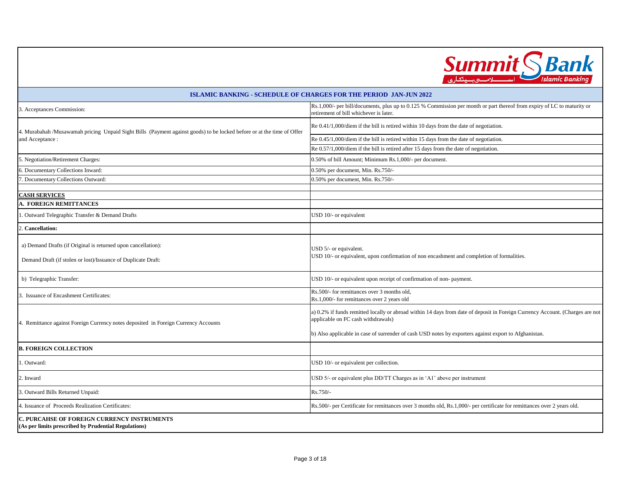

|                                                                                                                                                                                                                                                                                                                                                                     | <b>ISLAMIC BANKING - SCHEDULE OF CHARGES FOR THE PERIOD JAN-JUN 2022</b>                                                                                          |
|---------------------------------------------------------------------------------------------------------------------------------------------------------------------------------------------------------------------------------------------------------------------------------------------------------------------------------------------------------------------|-------------------------------------------------------------------------------------------------------------------------------------------------------------------|
| 3. Acceptances Commission:                                                                                                                                                                                                                                                                                                                                          | Rs.1,000/- per bill/documents, plus up to 0.125 % Commission per month or part thereof from expiry of LC to maturity or<br>retirement of bill whichever is later. |
| 4. Murabahah /Musawamah pricing Unpaid Sight Bills (Payment against goods) to be locked before or at the time of Offer<br>and Acceptance:                                                                                                                                                                                                                           | Re 0.41/1,000/diem if the bill is retired within 10 days from the date of negotiation.                                                                            |
|                                                                                                                                                                                                                                                                                                                                                                     | Re 0.45/1,000/diem if the bill is retired within 15 days from the date of negotiation.                                                                            |
|                                                                                                                                                                                                                                                                                                                                                                     | Re 0.57/1,000/diem if the bill is retired after 15 days from the date of negotiation.                                                                             |
| 5. Negotiation/Retirement Charges:                                                                                                                                                                                                                                                                                                                                  | 0.50% of bill Amount; Minimum Rs.1,000/- per document.                                                                                                            |
| 6. Documentary Collections Inward:                                                                                                                                                                                                                                                                                                                                  | 0.50% per document, Min. Rs.750/-                                                                                                                                 |
| . Documentary Collections Outward:                                                                                                                                                                                                                                                                                                                                  | 0.50% per document, Min. Rs.750/-                                                                                                                                 |
| <b>CASH SERVICES</b>                                                                                                                                                                                                                                                                                                                                                |                                                                                                                                                                   |
| A. FOREIGN REMITTANCES                                                                                                                                                                                                                                                                                                                                              |                                                                                                                                                                   |
| Outward Telegraphic Transfer & Demand Drafts                                                                                                                                                                                                                                                                                                                        | USD 10/- or equivalent                                                                                                                                            |
| <b>Cancellation:</b>                                                                                                                                                                                                                                                                                                                                                |                                                                                                                                                                   |
| a) Demand Drafts (if Original is returned upon cancellation):<br>Demand Draft (if stolen or lost)/Issuance of Duplicate Draft:                                                                                                                                                                                                                                      | USD 5/- or equivalent.<br>USD 10/- or equivalent, upon confirmation of non encashment and completion of formalities.                                              |
| b) Telegraphic Transfer:                                                                                                                                                                                                                                                                                                                                            | USD 10/- or equivalent upon receipt of confirmation of non-payment.                                                                                               |
| 3. Issuance of Encashment Certificates:                                                                                                                                                                                                                                                                                                                             | Rs.500/- for remittances over 3 months old,<br>Rs.1,000/- for remittances over 2 years old                                                                        |
| a) 0.2% if funds remitted locally or abroad within 14 days from date of deposit in Foreign Currency Account. (Charges are not<br>applicable on FC cash withdrawals)<br>4. Remittance against Foreign Currency notes deposited in Foreign Currency Accounts<br>b) Also applicable in case of surrender of cash USD notes by exporters against export to Afghanistan. |                                                                                                                                                                   |
| <b>B. FOREIGN COLLECTION</b>                                                                                                                                                                                                                                                                                                                                        |                                                                                                                                                                   |
| . Outward:                                                                                                                                                                                                                                                                                                                                                          | USD 10/- or equivalent per collection.                                                                                                                            |
| 2. Inward                                                                                                                                                                                                                                                                                                                                                           | USD 5/- or equivalent plus DD/TT Charges as in 'A1' above per instrument                                                                                          |
| 3. Outward Bills Returned Unpaid:                                                                                                                                                                                                                                                                                                                                   | Rs.750/-                                                                                                                                                          |
| 4. Issuance of Proceeds Realization Certificates:                                                                                                                                                                                                                                                                                                                   | Rs.500/- per Certificate for remittances over 3 months old, Rs.1,000/- per certificate for remittances over 2 years old.                                          |
| C. PURCAHSE OF FOREIGN CURRENCY INSTRUMENTS<br>(As per limits prescribed by Prudential Regulations)                                                                                                                                                                                                                                                                 |                                                                                                                                                                   |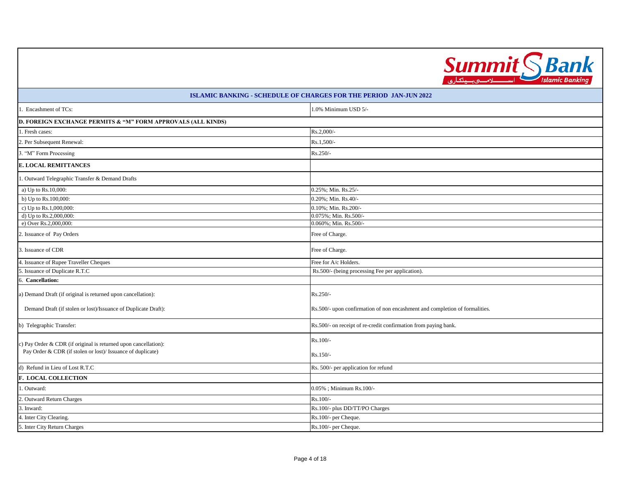

| 1. Encashment of TCs:                                           | 1.0% Minimum USD 5/-                                                        |  |  |
|-----------------------------------------------------------------|-----------------------------------------------------------------------------|--|--|
| D. FOREIGN EXCHANGE PERMITS & "M" FORM APPROVALS (ALL KINDS)    |                                                                             |  |  |
| 1. Fresh cases:                                                 | Rs.2,000/-                                                                  |  |  |
| 2. Per Subsequent Renewal:                                      | $Rs.1,500/-$                                                                |  |  |
| 3. "M" Form Processing                                          | Rs.250/-                                                                    |  |  |
| <b>E. LOCAL REMITTANCES</b>                                     |                                                                             |  |  |
| . Outward Telegraphic Transfer & Demand Drafts                  |                                                                             |  |  |
| a) Up to Rs.10,000:                                             | 0.25%; Min. Rs.25/-                                                         |  |  |
| b) Up to Rs.100,000:                                            | 0.20%; Min. Rs.40/-                                                         |  |  |
| c) Up to Rs.1,000,000:                                          | 0.10%; Min. Rs.200/-                                                        |  |  |
| d) Up to Rs.2,000,000:                                          | 0.075%; Min. Rs.500/-                                                       |  |  |
| e) Over Rs.2,000,000:                                           | 0.060%; Min. Rs.500/-                                                       |  |  |
| 2. Issuance of Pay Orders                                       | Free of Charge.                                                             |  |  |
| 3. Issuance of CDR                                              | Free of Charge.                                                             |  |  |
| 4. Issuance of Rupee Traveller Cheques                          | Free for A/c Holders.                                                       |  |  |
| 5. Issuance of Duplicate R.T.C                                  | Rs.500/- (being processing Fee per application).                            |  |  |
| 6. Cancellation:                                                |                                                                             |  |  |
| a) Demand Draft (if original is returned upon cancellation):    | Rs.250/-                                                                    |  |  |
| Demand Draft (if stolen or lost)/Issuance of Duplicate Draft):  | Rs.500/- upon confirmation of non encashment and completion of formalities. |  |  |
| b) Telegraphic Transfer:                                        | Rs.500/- on receipt of re-credit confirmation from paying bank.             |  |  |
| c) Pay Order & CDR (if original is returned upon cancellation): | Rs.100/-                                                                    |  |  |
| Pay Order & CDR (if stolen or lost)/ Issuance of duplicate)     | Rs.150/-                                                                    |  |  |
| d) Refund in Lieu of Lost R.T.C                                 | Rs. 500/- per application for refund                                        |  |  |
| <b>F. LOCAL COLLECTION</b>                                      |                                                                             |  |  |
| 1. Outward:                                                     | 0.05%; Minimum Rs.100/-                                                     |  |  |
| 2. Outward Return Charges                                       | Rs.100/-                                                                    |  |  |
| 3. Inward:                                                      | Rs.100/- plus DD/TT/PO Charges                                              |  |  |
| 4. Inter City Clearing.                                         | Rs.100/- per Cheque.                                                        |  |  |
| 5. Inter City Return Charges                                    | Rs.100/- per Cheque.                                                        |  |  |
|                                                                 |                                                                             |  |  |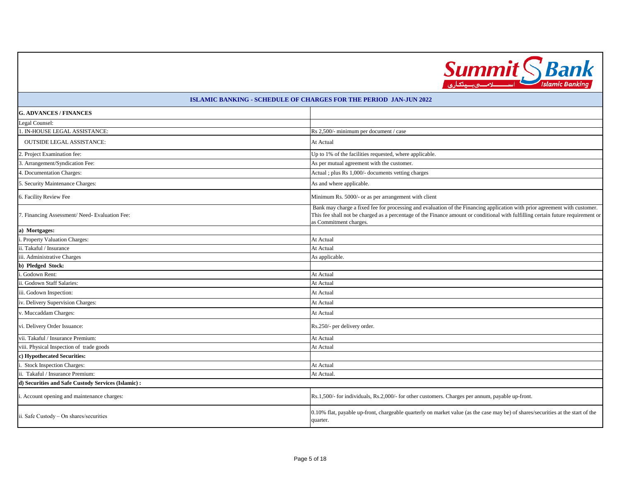

| <b>G. ADVANCES / FINANCES</b>                       |                                                                                                                                                                                                                                                                                          |  |
|-----------------------------------------------------|------------------------------------------------------------------------------------------------------------------------------------------------------------------------------------------------------------------------------------------------------------------------------------------|--|
| Legal Counsel:                                      |                                                                                                                                                                                                                                                                                          |  |
| . IN-HOUSE LEGAL ASSISTANCE:                        | Rs 2,500/- minimum per document / case                                                                                                                                                                                                                                                   |  |
| <b>OUTSIDE LEGAL ASSISTANCE:</b>                    | At Actual                                                                                                                                                                                                                                                                                |  |
| 2. Project Examination fee:                         | Up to 1% of the facilities requested, where applicable.                                                                                                                                                                                                                                  |  |
| 3. Arrangement/Syndication Fee:                     | As per mutual agreement with the customer.                                                                                                                                                                                                                                               |  |
| 4. Documentation Charges:                           | Actual ; plus Rs 1,000/- documents vetting charges                                                                                                                                                                                                                                       |  |
| 5. Security Maintenance Charges:                    | As and where applicable.                                                                                                                                                                                                                                                                 |  |
| 6. Facility Review Fee                              | Minimum Rs. 5000/- or as per arrangement with client                                                                                                                                                                                                                                     |  |
| 7. Financing Assessment/ Need- Evaluation Fee:      | Bank may charge a fixed fee for processing and evaluation of the Financing application with prior agreement with customer.<br>This fee shall not be charged as a percentage of the Finance amount or conditional with fulfilling certain future requirement or<br>as Commitment charges. |  |
| a) Mortgages:                                       |                                                                                                                                                                                                                                                                                          |  |
| . Property Valuation Charges:                       | At Actual                                                                                                                                                                                                                                                                                |  |
| ii. Takaful / Insurance                             | At Actual                                                                                                                                                                                                                                                                                |  |
| iii. Administrative Charges                         | As applicable.                                                                                                                                                                                                                                                                           |  |
| b) Pledged Stock:                                   |                                                                                                                                                                                                                                                                                          |  |
| Godown Rent:                                        | At Actual                                                                                                                                                                                                                                                                                |  |
| ii. Godown Staff Salaries:                          | At Actual                                                                                                                                                                                                                                                                                |  |
| iii. Godown Inspection:                             | At Actual                                                                                                                                                                                                                                                                                |  |
| iv. Delivery Supervision Charges:                   | At Actual                                                                                                                                                                                                                                                                                |  |
| v. Muccaddam Charges:                               | At Actual                                                                                                                                                                                                                                                                                |  |
| vi. Delivery Order Issuance:                        | Rs.250/- per delivery order.                                                                                                                                                                                                                                                             |  |
| vii. Takaful / Insurance Premium:                   | At Actual                                                                                                                                                                                                                                                                                |  |
| viii. Physical Inspection of trade goods            | At Actual                                                                                                                                                                                                                                                                                |  |
| c) Hypothecated Securities:                         |                                                                                                                                                                                                                                                                                          |  |
| Stock Inspection Charges:                           | At Actual                                                                                                                                                                                                                                                                                |  |
| ii. Takaful / Insurance Premium:                    | At Actual.                                                                                                                                                                                                                                                                               |  |
| d) Securities and Safe Custody Services (Islamic) : |                                                                                                                                                                                                                                                                                          |  |
| . Account opening and maintenance charges:          | Rs.1,500/- for individuals, Rs.2,000/- for other customers. Charges per annum, payable up-front.                                                                                                                                                                                         |  |
| ii. Safe Custody - On shares/securities             | 0.10% flat, payable up-front, chargeable quarterly on market value (as the case may be) of shares/securities at the start of the<br>quarter.                                                                                                                                             |  |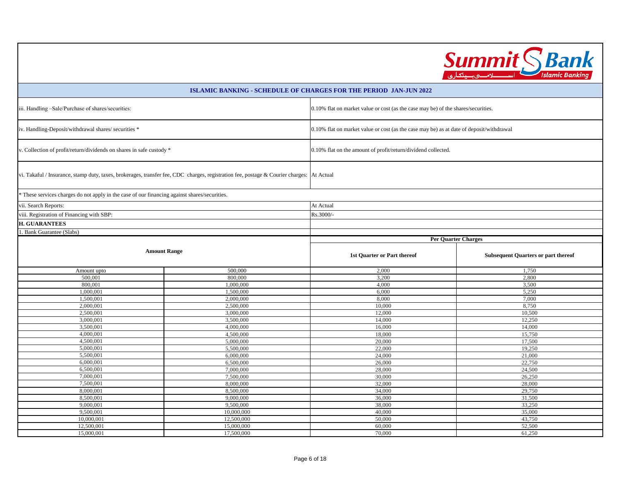|                | <b>Bank</b><br><b>Summit</b><br><b>Islamic Banking</b> |
|----------------|--------------------------------------------------------|
| <b>UN 2022</b> |                                                        |
|                |                                                        |

|                                                                                                                                           |                                                                                                                                       | ISLAMIC BANKING - SCHEDULE OF CHARGES FOR THE PERIOD JAN-JUN 2022                        |                                            |
|-------------------------------------------------------------------------------------------------------------------------------------------|---------------------------------------------------------------------------------------------------------------------------------------|------------------------------------------------------------------------------------------|--------------------------------------------|
| iii. Handling -Sale/Purchase of shares/securities:                                                                                        |                                                                                                                                       | 0.10% flat on market value or cost (as the case may be) of the shares/securities.        |                                            |
| iv. Handling-Deposit/withdrawal shares/ securities *                                                                                      |                                                                                                                                       | 0.10% flat on market value or cost (as the case may be) as at date of deposit/withdrawal |                                            |
|                                                                                                                                           | v. Collection of profit/return/dividends on shares in safe custody *<br>0.10% flat on the amount of profit/return/dividend collected. |                                                                                          |                                            |
| vi. Takaful / Insurance, stamp duty, taxes, brokerages, transfer fee, CDC charges, registration fee, postage & Courier charges: At Actual |                                                                                                                                       |                                                                                          |                                            |
| * These services charges do not apply in the case of our financing against shares/securities.                                             |                                                                                                                                       |                                                                                          |                                            |
| vii. Search Reports:                                                                                                                      |                                                                                                                                       | At Actual                                                                                |                                            |
| viii. Registration of Financing with SBP:                                                                                                 |                                                                                                                                       | Rs.3000/-                                                                                |                                            |
| <b>H. GUARANTEES</b>                                                                                                                      |                                                                                                                                       |                                                                                          |                                            |
| Bank Guarantee (Slabs)                                                                                                                    |                                                                                                                                       |                                                                                          |                                            |
|                                                                                                                                           |                                                                                                                                       | <b>Per Quarter Charges</b>                                                               |                                            |
| <b>Amount Range</b>                                                                                                                       |                                                                                                                                       | 1st Quarter or Part thereof                                                              | <b>Subsequent Quarters or part thereof</b> |
| Amount upto                                                                                                                               | 500,000                                                                                                                               | 2,000                                                                                    | 1,750                                      |
| 500,001                                                                                                                                   | 800,000                                                                                                                               | 3,200                                                                                    | 2,800                                      |
| 800,001                                                                                                                                   | 1,000,000                                                                                                                             | 4,000                                                                                    | 3,500                                      |
| 1,000,001                                                                                                                                 | 1,500,000                                                                                                                             | 6,000                                                                                    | 5,250                                      |
| 1,500,001<br>2,000,001                                                                                                                    | 2,000,000<br>2,500,000                                                                                                                | 8,000<br>10,000                                                                          | 7,000<br>8,750                             |
| 2,500,001                                                                                                                                 | 3,000,000                                                                                                                             | 12,000                                                                                   | 10,500                                     |
| 3,000,001                                                                                                                                 | 3,500,000                                                                                                                             | 14,000                                                                                   | 12,250                                     |
| 3,500,001                                                                                                                                 | 4,000,000                                                                                                                             | 16,000                                                                                   | 14,000                                     |
| 4,000,001                                                                                                                                 | 4,500,000                                                                                                                             | 18,000                                                                                   | 15,750                                     |
| 4,500,001                                                                                                                                 | 5,000,000                                                                                                                             | 20,000                                                                                   | 17,500                                     |
| 5,000,001                                                                                                                                 | 5,500,000                                                                                                                             | 22,000                                                                                   | 19,250                                     |
| 5,500,001                                                                                                                                 | 6,000,000                                                                                                                             | 24,000                                                                                   | 21,000                                     |
| 6,000,001                                                                                                                                 | 6,500,000                                                                                                                             | 26,000                                                                                   | 22,750                                     |
| 6,500,001                                                                                                                                 | 7,000,000                                                                                                                             | 28,000                                                                                   | 24,500                                     |
| 7,000,001                                                                                                                                 | 7,500,000                                                                                                                             | 30,000                                                                                   | 26,250                                     |
| 7,500,001                                                                                                                                 | 8,000,000                                                                                                                             | 32,000                                                                                   | 28,000                                     |
| 8,000,001                                                                                                                                 | 8,500,000                                                                                                                             | 34,000                                                                                   | 29,750                                     |
| 8,500,001                                                                                                                                 | 9,000,000                                                                                                                             | 36,000                                                                                   | 31,500                                     |
| 9,000,001<br>9,500,001                                                                                                                    | 9,500,000                                                                                                                             | 38,000                                                                                   | 33,250                                     |
| 10,000,001                                                                                                                                | 10,000,000<br>12,500,000                                                                                                              | 40,000<br>50,000                                                                         | 35,000<br>43,750                           |
| 12,500,001                                                                                                                                | 15,000,000                                                                                                                            | 60,000                                                                                   | 52,500                                     |
| 15,000,001                                                                                                                                | 17,500,000                                                                                                                            | 70,000                                                                                   | 61,250                                     |
|                                                                                                                                           |                                                                                                                                       |                                                                                          |                                            |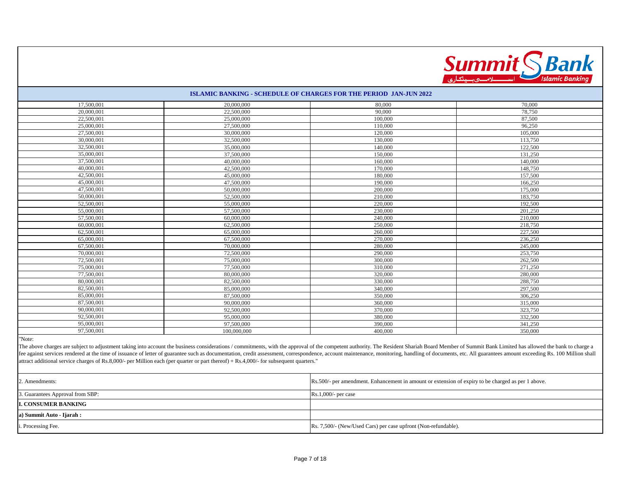

| 17,500,001 | 20,000,000  | 80,000  | 70,000  |
|------------|-------------|---------|---------|
| 20,000,001 | 22,500,000  | 90,000  | 78,750  |
| 22,500,001 | 25,000,000  | 100,000 | 87,500  |
| 25,000,001 | 27,500,000  | 110,000 | 96,250  |
| 27,500,001 | 30,000,000  | 120,000 | 105,000 |
| 30,000,001 | 32,500,000  | 130,000 | 113,750 |
| 32,500,001 | 35,000,000  | 140,000 | 122,500 |
| 35,000,001 | 37,500,000  | 150,000 | 131,250 |
| 37,500,001 | 40,000,000  | 160,000 | 140,000 |
| 40,000,001 | 42,500,000  | 170,000 | 148,750 |
| 42,500,001 | 45,000,000  | 180,000 | 157,500 |
| 45,000,001 | 47,500,000  | 190,000 | 166,250 |
| 47,500,001 | 50,000,000  | 200,000 | 175,000 |
| 50,000,001 | 52,500,000  | 210,000 | 183,750 |
| 52,500,001 | 55,000,000  | 220,000 | 192,500 |
| 55,000,001 | 57,500,000  | 230,000 | 201,250 |
| 57,500,001 | 60,000,000  | 240,000 | 210,000 |
| 60,000,001 | 62,500,000  | 250,000 | 218,750 |
| 62,500,001 | 65,000,000  | 260,000 | 227,500 |
| 65,000,001 | 67,500,000  | 270,000 | 236,250 |
| 67,500,001 | 70,000,000  | 280,000 | 245,000 |
| 70,000,001 | 72,500,000  | 290,000 | 253,750 |
| 72,500,001 | 75,000,000  | 300,000 | 262,500 |
| 75,000,001 | 77,500,000  | 310,000 | 271,250 |
| 77,500,001 | 80,000,000  | 320,000 | 280,000 |
| 80,000,001 | 82,500,000  | 330,000 | 288,750 |
| 82,500,001 | 85,000,000  | 340,000 | 297,500 |
| 85,000,001 | 87,500,000  | 350,000 | 306,250 |
| 87,500,001 | 90,000,000  | 360,000 | 315,000 |
| 90,000,001 | 92,500,000  | 370,000 | 323,750 |
| 92,500,001 | 95,000,000  | 380,000 | 332,500 |
| 95,000,001 | 97,500,000  | 390,000 | 341,250 |
| 97,500,001 | 100,000,000 | 400,000 | 350,000 |

"Note:

The above charges are subject to adjustment taking into account the business considerations / commitments, with the approval of the competent authority. The Resident Shariah Board Member of Summit Bank Limited has allowed fee against services rendered at the time of issuance of letter of guarantee such as documentation, credit assessment, correspondence, account maintenance, monitoring, handling of documents, etc. All guarantees amount exce attract additional service charges of Rs.8,000/- per Million each (per quarter or part thereof) + Rs.4,000/- for subsequent quarters."

| 2. Amendments:                   | Rs.500/- per amendment. Enhancement in amount or extension of expiry to be charged as per 1 above. |  |
|----------------------------------|----------------------------------------------------------------------------------------------------|--|
| 3. Guarantees Approval from SBP: | $Rs.1,000/-$ per case                                                                              |  |
| <b>II. CONSUMER BANKING</b>      |                                                                                                    |  |
| a) Summit Auto - Ijarah :        |                                                                                                    |  |
| <i>i</i> . Processing Fee.       | Rs. 7,500/- (New/Used Cars) per case upfront (Non-refundable).                                     |  |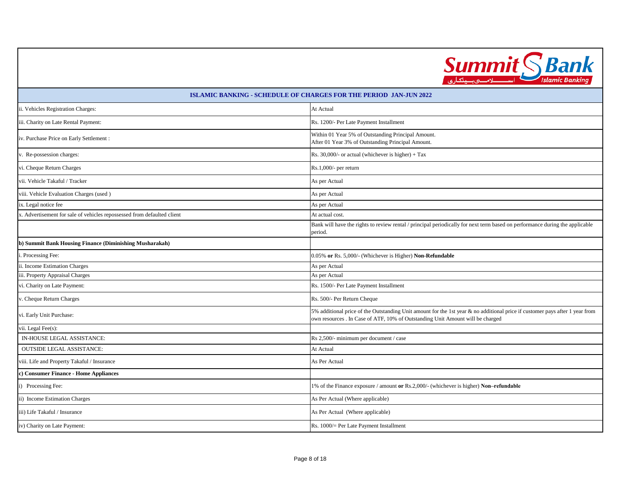

| <b>ISLAMIC BANKING - SCHEDULE OF CHARGES FOR THE PERIOD JAN-JUN 2022</b> |                                                                                                                                                                                                                |  |
|--------------------------------------------------------------------------|----------------------------------------------------------------------------------------------------------------------------------------------------------------------------------------------------------------|--|
| ii. Vehicles Registration Charges:                                       | At Actual                                                                                                                                                                                                      |  |
| iii. Charity on Late Rental Payment:                                     | Rs. 1200/- Per Late Payment Installment                                                                                                                                                                        |  |
| iv. Purchase Price on Early Settlement :                                 | Within 01 Year 5% of Outstanding Principal Amount.<br>After 01 Year 3% of Outstanding Principal Amount.                                                                                                        |  |
| v. Re-possession charges:                                                | Rs. 30,000/- or actual (whichever is higher) + Tax                                                                                                                                                             |  |
| vi. Cheque Return Charges                                                | Rs.1,000/- per return                                                                                                                                                                                          |  |
| vii. Vehicle Takaful / Tracker                                           | As per Actual                                                                                                                                                                                                  |  |
| viii. Vehicle Evaluation Charges (used)                                  | As per Actual                                                                                                                                                                                                  |  |
| ix. Legal notice fee                                                     | As per Actual                                                                                                                                                                                                  |  |
| x. Advertisement for sale of vehicles repossessed from defaulted client  | At actual cost.                                                                                                                                                                                                |  |
|                                                                          | Bank will have the rights to review rental / principal periodically for next term based on performance during the applicable<br>period.                                                                        |  |
| b) Summit Bank Housing Finance (Diminishing Musharakah)                  |                                                                                                                                                                                                                |  |
| i. Processing Fee:                                                       | 0.05% or Rs. 5,000/- (Whichever is Higher) Non-Refundable                                                                                                                                                      |  |
| ii. Income Estimation Charges                                            | As per Actual                                                                                                                                                                                                  |  |
| iii. Property Appraisal Charges                                          | As per Actual                                                                                                                                                                                                  |  |
| vi. Charity on Late Payment:                                             | Rs. 1500/- Per Late Payment Installment                                                                                                                                                                        |  |
| v. Cheque Return Charges                                                 | Rs. 500/- Per Return Cheque                                                                                                                                                                                    |  |
| vi. Early Unit Purchase:                                                 | 5% additional price of the Outstanding Unit amount for the 1st year & no additional price if customer pays after 1 year from<br>own resources . In Case of ATF, 10% of Outstanding Unit Amount will be charged |  |
| vii. Legal Fee(s):                                                       |                                                                                                                                                                                                                |  |
| IN-HOUSE LEGAL ASSISTANCE:                                               | Rs 2,500/- minimum per document / case                                                                                                                                                                         |  |
| <b>OUTSIDE LEGAL ASSISTANCE:</b>                                         | At Actual                                                                                                                                                                                                      |  |
| viii. Life and Property Takaful / Insurance                              | As Per Actual                                                                                                                                                                                                  |  |
| c) Consumer Finance - Home Appliances                                    |                                                                                                                                                                                                                |  |
| i) Processing Fee:                                                       | 1% of the Finance exposure / amount or Rs.2,000/- (whichever is higher) Non-refundable                                                                                                                         |  |
| ii) Income Estimation Charges                                            | As Per Actual (Where applicable)                                                                                                                                                                               |  |
| iii) Life Takaful / Insurance                                            | As Per Actual (Where applicable)                                                                                                                                                                               |  |
| iv) Charity on Late Payment:                                             | Rs. 1000/= Per Late Payment Installment                                                                                                                                                                        |  |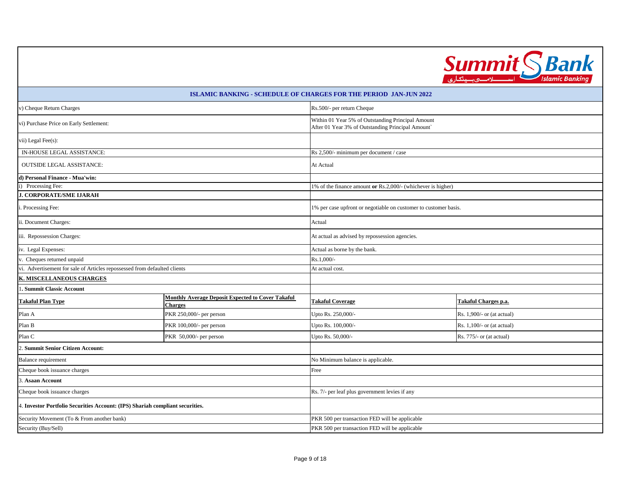

| v) Cheque Return Charges                                                      |                                                                            |                                                                                                        | Rs.500/- per return Cheque |  |  |
|-------------------------------------------------------------------------------|----------------------------------------------------------------------------|--------------------------------------------------------------------------------------------------------|----------------------------|--|--|
| vi) Purchase Price on Early Settlement:                                       |                                                                            | Within 01 Year 5% of Outstanding Principal Amount<br>After 01 Year 3% of Outstanding Principal Amount` |                            |  |  |
| vii) Legal Fee(s):                                                            |                                                                            |                                                                                                        |                            |  |  |
| IN-HOUSE LEGAL ASSISTANCE:                                                    |                                                                            | Rs 2,500/- minimum per document / case                                                                 |                            |  |  |
| <b>OUTSIDE LEGAL ASSISTANCE:</b>                                              |                                                                            | At Actual                                                                                              |                            |  |  |
| d) Personal Finance - Mua'win:                                                |                                                                            |                                                                                                        |                            |  |  |
| i) Processing Fee:                                                            |                                                                            | 1% of the finance amount or Rs.2,000/- (whichever is higher)                                           |                            |  |  |
| <b>J. CORPORATE/SME IJARAH</b>                                                |                                                                            |                                                                                                        |                            |  |  |
| i. Processing Fee:                                                            |                                                                            | 1% per case upfront or negotiable on customer to customer basis.                                       |                            |  |  |
| ii. Document Charges:                                                         |                                                                            | Actual                                                                                                 |                            |  |  |
| iii. Repossession Charges:                                                    |                                                                            | At actual as advised by repossession agencies.                                                         |                            |  |  |
| iv. Legal Expenses:                                                           |                                                                            | Actual as borne by the bank.                                                                           |                            |  |  |
| v. Cheques returned unpaid                                                    |                                                                            | Rs.1,000/-                                                                                             |                            |  |  |
| vi. Advertisement for sale of Articles repossessed from defaulted clients     |                                                                            | At actual cost.                                                                                        |                            |  |  |
| K. MISCELLANEOUS CHARGES                                                      |                                                                            |                                                                                                        |                            |  |  |
| 1. Summit Classic Account                                                     |                                                                            |                                                                                                        |                            |  |  |
| <b>Takaful Plan Type</b>                                                      | <b>Monthly Average Deposit Expected to Cover Takaful</b><br><b>Charges</b> | Takaful Charges p.a.<br><b>Takaful Coverage</b>                                                        |                            |  |  |
| Plan A                                                                        | PKR 250,000/- per person                                                   | Upto Rs. 250,000/-                                                                                     | Rs. 1,900/- or (at actual) |  |  |
| Plan B                                                                        | PKR 100,000/- per person                                                   | Upto Rs. 100,000/-                                                                                     | Rs. 1,100/- or (at actual) |  |  |
| Plan C                                                                        | PKR 50,000/- per person                                                    |                                                                                                        | Rs. 775/- or (at actual)   |  |  |
| 2. Summit Senior Citizen Account:                                             |                                                                            |                                                                                                        |                            |  |  |
| Balance requirement                                                           |                                                                            | No Minimum balance is applicable.                                                                      |                            |  |  |
| Cheque book issuance charges                                                  |                                                                            | Free                                                                                                   |                            |  |  |
| 3. Asaan Account                                                              |                                                                            |                                                                                                        |                            |  |  |
| Cheque book issuance charges                                                  |                                                                            | Rs. 7/- per leaf plus government levies if any                                                         |                            |  |  |
| 4. Investor Portfolio Securities Account: (IPS) Shariah compliant securities. |                                                                            |                                                                                                        |                            |  |  |
| Security Movement (To & From another bank)                                    |                                                                            | PKR 500 per transaction FED will be applicable                                                         |                            |  |  |
| Security (Buy/Sell)                                                           |                                                                            | PKR 500 per transaction FED will be applicable                                                         |                            |  |  |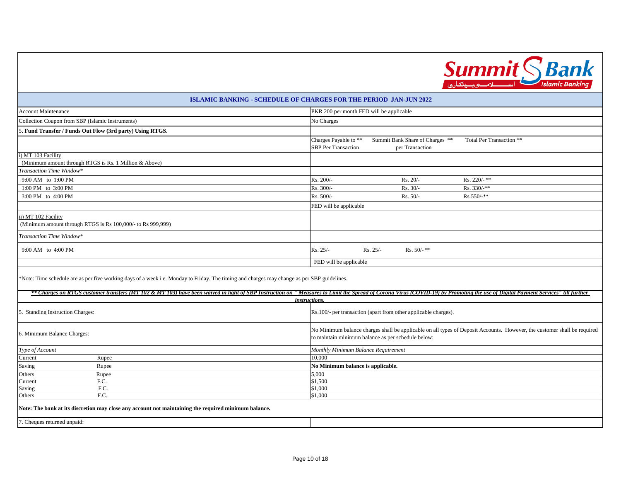

| <b>ISLAMIC BANKING - SCHEDULE OF CHARGES FOR THE PERIOD JAN-JUN 2022</b>                                                                                                                                                                        |                                                                                                                                                                                |  |
|-------------------------------------------------------------------------------------------------------------------------------------------------------------------------------------------------------------------------------------------------|--------------------------------------------------------------------------------------------------------------------------------------------------------------------------------|--|
| <b>Account Maintenance</b>                                                                                                                                                                                                                      | PKR 200 per month FED will be applicable                                                                                                                                       |  |
| Collection Coupon from SBP (Islamic Instruments)                                                                                                                                                                                                | No Charges                                                                                                                                                                     |  |
| Fund Transfer / Funds Out Flow (3rd party) Using RTGS.                                                                                                                                                                                          |                                                                                                                                                                                |  |
|                                                                                                                                                                                                                                                 | Charges Payable to **<br>Summit Bank Share of Charges **<br>Total Per Transaction **<br><b>SBP</b> Per Transaction<br>per Transaction                                          |  |
| i) MT 103 Facility<br>(Minimum amount through RTGS is Rs. 1 Million & Above)                                                                                                                                                                    |                                                                                                                                                                                |  |
| Transaction Time Window*                                                                                                                                                                                                                        |                                                                                                                                                                                |  |
| 9:00 AM to 1:00 PM                                                                                                                                                                                                                              | Rs. 200/-<br>Rs. 220/- $**$<br>$Rs. 20/-$                                                                                                                                      |  |
| 1:00 PM to 3:00 PM                                                                                                                                                                                                                              | Rs. 300/-<br>$Rs. 30/-$<br>$Rs. 330/$ -**                                                                                                                                      |  |
| 3:00 PM to 4:00 PM                                                                                                                                                                                                                              | Rs. 500/-<br>$Rs. 50/-$<br>$Rs.550/$ -**                                                                                                                                       |  |
|                                                                                                                                                                                                                                                 | FED will be applicable                                                                                                                                                         |  |
| ii) MT 102 Facility<br>(Minimum amount through RTGS is Rs 100,000/- to Rs 999,999)                                                                                                                                                              |                                                                                                                                                                                |  |
| Transaction Time Window*                                                                                                                                                                                                                        |                                                                                                                                                                                |  |
| 9:00 AM to 4:00 PM                                                                                                                                                                                                                              | Rs. 25/-<br>Rs. $50/-$ **<br>$Rs. 25/-$                                                                                                                                        |  |
|                                                                                                                                                                                                                                                 | FED will be applicable                                                                                                                                                         |  |
| *Note: Time schedule are as per five working days of a week i.e. Monday to Friday. The timing and charges may change as per SBP guidelines.                                                                                                     |                                                                                                                                                                                |  |
| ** Charges on RTGS customer transfers (MT 102 & MT 103) have been waived in light of SBP Instruction on "Measures to Limit the Spread of Corona Virus (COVID-19) by Promoting the use of Digital Payment Services" till furthe<br>instructions. |                                                                                                                                                                                |  |
| 5. Standing Instruction Charges:                                                                                                                                                                                                                | Rs.100/- per transaction (apart from other applicable charges).                                                                                                                |  |
| 6. Minimum Balance Charges:                                                                                                                                                                                                                     | No Minimum balance charges shall be applicable on all types of Deposit Accounts. However, the customer shall be required<br>to maintain minimum balance as per schedule below: |  |
| Type of Account                                                                                                                                                                                                                                 | Monthly Minimum Balance Requirement                                                                                                                                            |  |
| Rupee<br>Current                                                                                                                                                                                                                                | 10,000                                                                                                                                                                         |  |
| Rupee<br>Saving                                                                                                                                                                                                                                 | No Minimum balance is applicable.                                                                                                                                              |  |
| Others<br>Rupee                                                                                                                                                                                                                                 | 5,000                                                                                                                                                                          |  |
| F.C.<br>Current                                                                                                                                                                                                                                 | \$1,500                                                                                                                                                                        |  |

**Note: The bank at its discretion may close any account not maintaining the required minimum balance.**

. Cheques returned unpaid:

Others

Saving F.C.<br>Others F.C.

\$1,000

\$1,000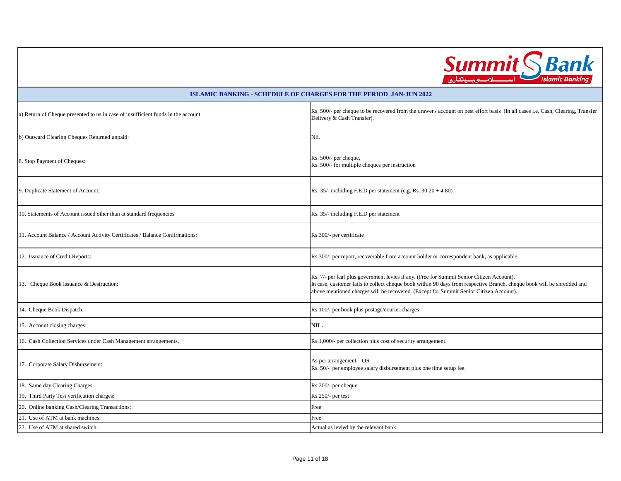

| a) Return of Cheque presented to us in case of insufficient funds in the account | Rs. 500/- per cheque to be recovered from the drawer's account on best effort basis (In all cases i.e. Cash, Clearing, Transfer<br>Delivery & Cash Transfer).                                                                                                                                                 |  |
|----------------------------------------------------------------------------------|---------------------------------------------------------------------------------------------------------------------------------------------------------------------------------------------------------------------------------------------------------------------------------------------------------------|--|
| b) Outward Clearing Cheques Returned unpaid:                                     | Nil.                                                                                                                                                                                                                                                                                                          |  |
| 8. Stop Payment of Cheques:                                                      | Rs. 500/- per cheque,<br>Rs. 500/- for multiple cheques per instruction                                                                                                                                                                                                                                       |  |
| 9. Duplicate Statement of Account:                                               | Rs. $35/-$ including F.E.D per statement (e.g. Rs. $30.20 + 4.80$ )                                                                                                                                                                                                                                           |  |
| 10. Statements of Account issued other than at standard frequencies              | Rs. 35/- including F.E.D per statement                                                                                                                                                                                                                                                                        |  |
| 11. Account Balance / Account Activity Certificates / Balance Confirmations:     | Rs.300/- per certificate                                                                                                                                                                                                                                                                                      |  |
| 12. Issuance of Credit Reports:                                                  | Rs.300/- per report, recoverable from account holder or correspondent bank, as applicable.                                                                                                                                                                                                                    |  |
| 13. Cheque Book Issuance & Destruction:                                          | Rs. 7/- per leaf plus government levies if any. (Free for Summit Senior Citizen Account).<br>In case, customer fails to collect cheque book within 90 days from respective Branch, cheque book will be shredded and<br>above mentioned charges will be recovered. (Except for Summit Senior Citizen Account). |  |
| 14. Cheque Book Dispatch:                                                        | Rs.100/- per book plus postage/courier charges                                                                                                                                                                                                                                                                |  |
| 15. Account closing charges:                                                     | NIL.                                                                                                                                                                                                                                                                                                          |  |
| 16. Cash Collection Services under Cash Management arrangements.                 | Rs.1,000/- per collection plus cost of security arrangement.                                                                                                                                                                                                                                                  |  |
| 17. Corporate Salary Disbursement:                                               | As per arrangement OR<br>Rs. 50/- per employee salary disbursement plus one time setup fee.                                                                                                                                                                                                                   |  |
| 18. Same day Clearing Charges                                                    | Rs.200/- per cheque                                                                                                                                                                                                                                                                                           |  |
| 19. Third Party Test verification charges:                                       | Rs.250/- per test                                                                                                                                                                                                                                                                                             |  |
| 20. Online banking Cash/Clearing Transactions:                                   | Free                                                                                                                                                                                                                                                                                                          |  |
| 21. Use of ATM at bank machines:                                                 | Free                                                                                                                                                                                                                                                                                                          |  |
| 22. Use of ATM at shared switch:                                                 | Actual as levied by the relevant bank.                                                                                                                                                                                                                                                                        |  |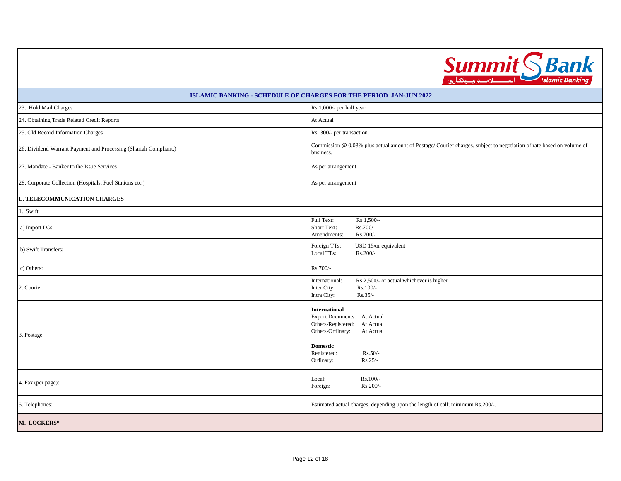

| <b>ISLAMIC BANKING - SCHEDULE OF CHARGES FOR THE PERIOD JAN-JUN 2022</b> |                                                                                                                                                                                                  |  |
|--------------------------------------------------------------------------|--------------------------------------------------------------------------------------------------------------------------------------------------------------------------------------------------|--|
| 23. Hold Mail Charges                                                    | Rs.1,000/- per half year                                                                                                                                                                         |  |
| 24. Obtaining Trade Related Credit Reports                               | At Actual                                                                                                                                                                                        |  |
| 25. Old Record Information Charges                                       | Rs. 300/- per transaction.                                                                                                                                                                       |  |
| 26. Dividend Warrant Payment and Processing (Shariah Compliant.)         | Commission @ 0.03% plus actual amount of Postage/Courier charges, subject to negotiation of rate based on volume of<br>business.                                                                 |  |
| 27. Mandate - Banker to the Issue Services                               | As per arrangement                                                                                                                                                                               |  |
| 28. Corporate Collection (Hospitals, Fuel Stations etc.)                 | As per arrangement                                                                                                                                                                               |  |
| L. TELECOMMUNICATION CHARGES                                             |                                                                                                                                                                                                  |  |
| 1. Swift:                                                                |                                                                                                                                                                                                  |  |
| a) Import LCs:                                                           | Rs.1,500/-<br>Full Text:<br>Short Text:<br>Rs.700/-<br>Rs.700/-<br>Amendments:                                                                                                                   |  |
| b) Swift Transfers:                                                      | Foreign TTs:<br>USD 15/or equivalent<br>Local TTs:<br>Rs.200/-                                                                                                                                   |  |
| c) Others:                                                               | Rs.700/-                                                                                                                                                                                         |  |
| 2. Courier:                                                              | Rs.2,500/- or actual whichever is higher<br>International:<br>Inter City:<br>Rs.100/-<br>Intra City:<br>$Rs.35/-$                                                                                |  |
| 3. Postage:                                                              | <b>International</b><br>Export Documents: At Actual<br>Others-Registered:<br>At Actual<br>Others-Ordinary:<br>At Actual<br><b>Domestic</b><br>Registered:<br>$Rs.50/-$<br>Ordinary:<br>$Rs.25/-$ |  |
| 4. Fax (per page):                                                       | Rs.100/-<br>Local:<br>Rs.200/-<br>Foreign:                                                                                                                                                       |  |
| 5. Telephones:                                                           | Estimated actual charges, depending upon the length of call; minimum Rs.200/-.                                                                                                                   |  |
| <b>M. LOCKERS*</b>                                                       |                                                                                                                                                                                                  |  |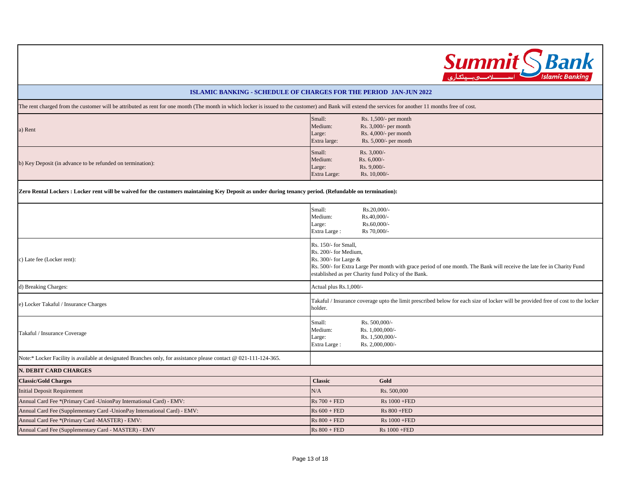

The rent charged from the customer will be attributed as rent for one month (The month in which locker is issued to the customer) and Bank will extend the services for another 11 months free of cost.

| a) Rent                                                                                                                                                 | Small:<br>Medium:<br>Large:<br>Extra large: | Rs. $1,500/$ - per month<br>Rs. $3,000/$ - per month<br>Rs. $4,000/$ - per month<br>Rs. $5,000/$ - per month |
|---------------------------------------------------------------------------------------------------------------------------------------------------------|---------------------------------------------|--------------------------------------------------------------------------------------------------------------|
| b) Key Deposit (in advance to be refunded on termination):                                                                                              | Small:<br>Medium:<br>Large:<br>Extra Large: | $Rs. 3,000/-$<br>Rs. $6,000/-$<br>$Rs. 9,000/-$<br>$Rs. 10,000/$ -                                           |
| Zero Rental Lockers : Locker rent will be waived for the customers maintaining Key Deposit as under during tenancy period. (Refundable on termination): |                                             |                                                                                                              |
|                                                                                                                                                         | Small:                                      | $Rs.20,000/-$                                                                                                |

|                                                                                                                   | Rs.40,000/-<br>Medium:<br>Rs.60,000/-<br>Large:<br>Rs 70,000/-<br>Extra Large:                                                                                                                                                                          |
|-------------------------------------------------------------------------------------------------------------------|---------------------------------------------------------------------------------------------------------------------------------------------------------------------------------------------------------------------------------------------------------|
| c) Late fee (Locker rent):                                                                                        | Rs. 150/- for Small,<br>Rs. 200/- for Medium,<br>Rs. 300/- for Large &<br>Rs. 500/- for Extra Large Per month with grace period of one month. The Bank will receive the late fee in Charity Fund<br>established as per Charity fund Policy of the Bank. |
| d) Breaking Charges:                                                                                              | Actual plus Rs.1,000/-                                                                                                                                                                                                                                  |
| e) Locker Takaful / Insurance Charges                                                                             | Takaful / Insurance coverage upto the limit prescribed below for each size of locker will be provided free of cost to the locker<br>holder.                                                                                                             |
| Takaful / Insurance Coverage                                                                                      | Rs. 500,000/-<br>Small:<br>Rs. 1,000,000/-<br>Medium:<br>Rs. 1,500,000/-<br>Large:<br>Rs. 2,000,000/-<br>Extra Large:                                                                                                                                   |
| Note:* Locker Facility is available at designated Branches only, for assistance please contact @ 021-111-124-365. |                                                                                                                                                                                                                                                         |
| N. DEBIT CARD CHARGES                                                                                             |                                                                                                                                                                                                                                                         |
| <b>Classic/Gold Charges</b>                                                                                       | <b>Classic</b><br>Gold                                                                                                                                                                                                                                  |
| <b>Initial Deposit Requirement</b>                                                                                | Rs. 500,000<br>N/A                                                                                                                                                                                                                                      |
| Annual Card Fee *(Primary Card -UnionPay International Card) - EMV:                                               | $Rs 700 + FED$<br>$Rs 1000 + FED$                                                                                                                                                                                                                       |
| Annual Card Fee (Supplementary Card -UnionPay International Card) - EMV:                                          | $Rs 600 + FED$<br>$Rs 800 + FED$                                                                                                                                                                                                                        |
| Annual Card Fee *(Primary Card -MASTER) - EMV:                                                                    | $Rs 800 + FED$<br>$Rs 1000 + FED$                                                                                                                                                                                                                       |
| Annual Card Fee (Supplementary Card - MASTER) - EMV                                                               | $Rs 800 + FED$<br>Rs 1000 +FED                                                                                                                                                                                                                          |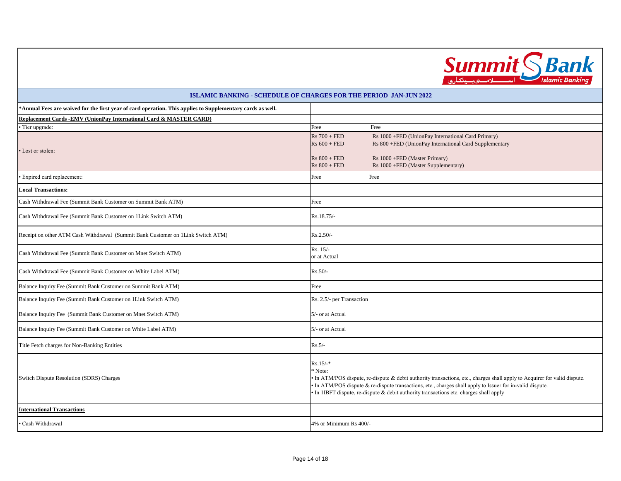

| <b>ISLAMIC BANKING - SCHEDULE OF CHARGES FOR THE PERIOD JAN-JUN 2022</b>                                   |                                                                                                                                                                                                                                                                                                                                                            |                                                                                                                                                                                      |
|------------------------------------------------------------------------------------------------------------|------------------------------------------------------------------------------------------------------------------------------------------------------------------------------------------------------------------------------------------------------------------------------------------------------------------------------------------------------------|--------------------------------------------------------------------------------------------------------------------------------------------------------------------------------------|
| *Annual Fees are waived for the first year of card operation. This applies to Supplementary cards as well. |                                                                                                                                                                                                                                                                                                                                                            |                                                                                                                                                                                      |
| Replacement Cards -EMV (UnionPay International Card & MASTER CARD)                                         |                                                                                                                                                                                                                                                                                                                                                            |                                                                                                                                                                                      |
| • Tier upgrade:                                                                                            | Free                                                                                                                                                                                                                                                                                                                                                       | Free                                                                                                                                                                                 |
| • Lost or stolen:                                                                                          | $Rs 700 + FED$<br>$Rs 600 + FED$<br>$Rs 800 + FED$<br>$Rs 800 + FED$                                                                                                                                                                                                                                                                                       | Rs 1000 +FED (UnionPay International Card Primary)<br>Rs 800 +FED (UnionPay International Card Supplementary<br>Rs 1000 +FED (Master Primary)<br>Rs 1000 +FED (Master Supplementary) |
| · Expired card replacement:                                                                                | Free                                                                                                                                                                                                                                                                                                                                                       | Free                                                                                                                                                                                 |
| <b>Local Transactions:</b>                                                                                 |                                                                                                                                                                                                                                                                                                                                                            |                                                                                                                                                                                      |
| Cash Withdrawal Fee (Summit Bank Customer on Summit Bank ATM)                                              | Free                                                                                                                                                                                                                                                                                                                                                       |                                                                                                                                                                                      |
| Cash Withdrawal Fee (Summit Bank Customer on 1Link Switch ATM)                                             | Rs.18.75/-                                                                                                                                                                                                                                                                                                                                                 |                                                                                                                                                                                      |
| Receipt on other ATM Cash Withdrawal (Summit Bank Customer on 1Link Switch ATM)                            | $Rs.2.50/-$                                                                                                                                                                                                                                                                                                                                                |                                                                                                                                                                                      |
| Cash Withdrawal Fee (Summit Bank Customer on Mnet Switch ATM)                                              | Rs. 15/-<br>or at Actual                                                                                                                                                                                                                                                                                                                                   |                                                                                                                                                                                      |
| Cash Withdrawal Fee (Summit Bank Customer on White Label ATM)                                              | $Rs.50/-$                                                                                                                                                                                                                                                                                                                                                  |                                                                                                                                                                                      |
| Balance Inquiry Fee (Summit Bank Customer on Summit Bank ATM)                                              | Free                                                                                                                                                                                                                                                                                                                                                       |                                                                                                                                                                                      |
| Balance Inquiry Fee (Summit Bank Customer on 1Link Switch ATM)                                             | Rs. 2.5/- per Transaction                                                                                                                                                                                                                                                                                                                                  |                                                                                                                                                                                      |
| Balance Inquiry Fee (Summit Bank Customer on Mnet Switch ATM)                                              | 5/- or at Actual                                                                                                                                                                                                                                                                                                                                           |                                                                                                                                                                                      |
| Balance Inquiry Fee (Summit Bank Customer on White Label ATM)                                              | 5/- or at Actual                                                                                                                                                                                                                                                                                                                                           |                                                                                                                                                                                      |
| Title Fetch charges for Non-Banking Entities                                                               | $Rs.5/-$                                                                                                                                                                                                                                                                                                                                                   |                                                                                                                                                                                      |
| Switch Dispute Resolution (SDRS) Charges                                                                   | $Rs.15/-$ *<br>* Note:<br>• In ATM/POS dispute, re-dispute & debit authority transactions, etc., charges shall apply to Acquirer for valid dispute.<br>In ATM/POS dispute $&$ re-dispute transactions, etc., charges shall apply to Issuer for in-valid dispute.<br>• In 1IBFT dispute, re-dispute & debit authority transactions etc. charges shall apply |                                                                                                                                                                                      |
| <b>International Transactions</b>                                                                          |                                                                                                                                                                                                                                                                                                                                                            |                                                                                                                                                                                      |
| • Cash Withdrawal                                                                                          | 4% or Minimum Rs 400/-                                                                                                                                                                                                                                                                                                                                     |                                                                                                                                                                                      |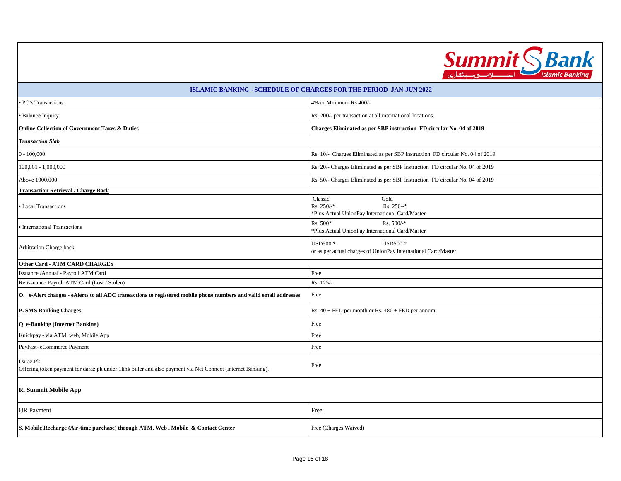

| <b>ISLAMIC BANKING - SCHEDULE OF CHARGES FOR THE PERIOD JAN-JUN 2022</b>                                                |                                                                                                      |  |
|-------------------------------------------------------------------------------------------------------------------------|------------------------------------------------------------------------------------------------------|--|
| POS Transactions                                                                                                        | 4% or Minimum Rs 400/-                                                                               |  |
| <b>Balance Inquiry</b>                                                                                                  | Rs. 200/- per transaction at all international locations.                                            |  |
| Online Collection of Government Taxes & Duties                                                                          | Charges Eliminated as per SBP instruction FD circular No. 04 of 2019                                 |  |
| <b>Transaction Slab</b>                                                                                                 |                                                                                                      |  |
| $0 - 100,000$                                                                                                           | Rs. 10/- Charges Eliminated as per SBP instruction FD circular No. 04 of 2019                        |  |
| 100,001 - 1,000,000                                                                                                     | Rs. 20/- Charges Eliminated as per SBP instruction FD circular No. 04 of 2019                        |  |
| Above 1000,000                                                                                                          | Rs. 50/- Charges Eliminated as per SBP instruction FD circular No. 04 of 2019                        |  |
| <b>Transaction Retrieval / Charge Back</b>                                                                              |                                                                                                      |  |
| Local Transactions                                                                                                      | Gold<br>Classic<br>$Rs. 250/$ -*<br>$Rs. 250/-$ *<br>*Plus Actual UnionPay International Card/Master |  |
| International Transactions                                                                                              | Rs. 500*<br>$Rs. 500/$ -*<br>*Plus Actual UnionPay International Card/Master                         |  |
| Arbitration Charge back                                                                                                 | USD500 *<br><b>USD500*</b><br>or as per actual charges of UnionPay International Card/Master         |  |
| Other Card - ATM CARD CHARGES                                                                                           |                                                                                                      |  |
| Issuance / Annual - Payroll ATM Card                                                                                    | Free                                                                                                 |  |
| Re issuance Payroll ATM Card (Lost / Stolen)                                                                            | Rs. 125/-                                                                                            |  |
| O. e-Alert charges - eAlerts to all ADC transactions to registered mobile phone numbers and valid email addresses       | Free                                                                                                 |  |
| P. SMS Banking Charges                                                                                                  | Rs. $40 + FED$ per month or Rs. $480 + FED$ per annum                                                |  |
| Q. e-Banking (Internet Banking)                                                                                         | Free                                                                                                 |  |
| Kuickpay - via ATM, web, Mobile App                                                                                     | Free                                                                                                 |  |
| PayFast-eCommerce Payment                                                                                               | Free                                                                                                 |  |
| Daraz.Pk<br>Offering token payment for daraz.pk under 1link biller and also payment via Net Connect (internet Banking). | Free                                                                                                 |  |
| R. Summit Mobile App                                                                                                    |                                                                                                      |  |
| <b>QR</b> Payment                                                                                                       | Free                                                                                                 |  |
| S. Mobile Recharge (Air-time purchase) through ATM, Web, Mobile & Contact Center                                        | Free (Charges Waived)                                                                                |  |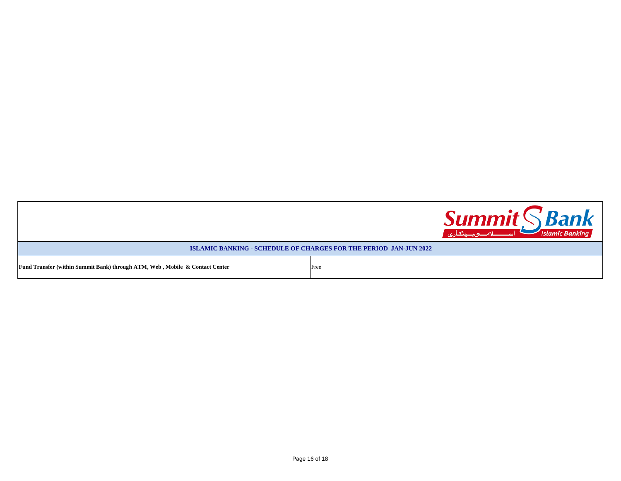|                                                                              |      | <b>Summit SBank</b><br>اسىسىلامىھەسىنگارى<br><b>Islamic Banking</b> |
|------------------------------------------------------------------------------|------|---------------------------------------------------------------------|
| <b>ISLAMIC BANKING - SCHEDULE OF CHARGES FOR THE PERIOD JAN-JUN 2022</b>     |      |                                                                     |
| Fund Transfer (within Summit Bank) through ATM, Web, Mobile & Contact Center | Free |                                                                     |

Г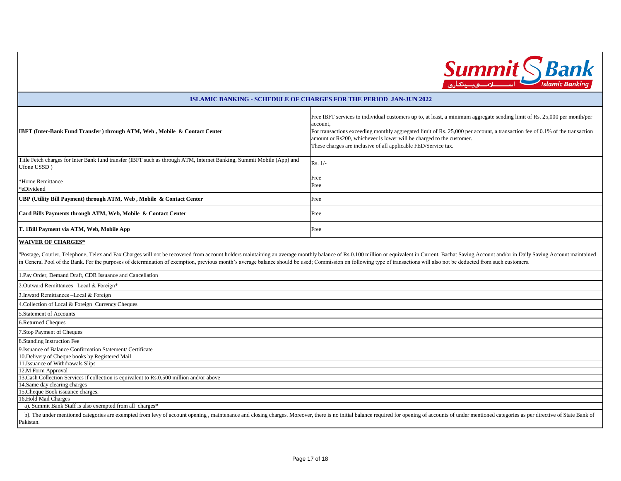

| <b>ISLAMIC BANKING - SCHEDULE OF CHARGES FOR THE PERIOD JAN-JUN 2022</b>                                                                                                                                                       |                                                                                                                                                                                                                                                                                                                                                                                                                |  |
|--------------------------------------------------------------------------------------------------------------------------------------------------------------------------------------------------------------------------------|----------------------------------------------------------------------------------------------------------------------------------------------------------------------------------------------------------------------------------------------------------------------------------------------------------------------------------------------------------------------------------------------------------------|--|
| IBFT (Inter-Bank Fund Transfer) through ATM, Web, Mobile & Contact Center                                                                                                                                                      | Free IBFT services to individual customers up to, at least, a minimum aggregate sending limit of Rs. 25,000 per month/per<br>account.<br>For transactions exceeding monthly aggregated limit of Rs. 25,000 per account, a transaction fee of 0.1% of the transaction<br>amount or Rs200, whichever is lower will be charged to the customer.<br>These charges are inclusive of all applicable FED/Service tax. |  |
| Title Fetch charges for Inter Bank fund transfer (IBFT such as through ATM, Internet Banking, Summit Mobile (App) and<br>Ufone USSD)                                                                                           | Rs. 1/-                                                                                                                                                                                                                                                                                                                                                                                                        |  |
| *Home Remittance<br>*eDividend                                                                                                                                                                                                 | Free<br>Free                                                                                                                                                                                                                                                                                                                                                                                                   |  |
| UBP (Utility Bill Payment) through ATM, Web, Mobile & Contact Center                                                                                                                                                           | Free                                                                                                                                                                                                                                                                                                                                                                                                           |  |
| Card Bills Payments through ATM, Web, Mobile & Contact Center                                                                                                                                                                  | Free                                                                                                                                                                                                                                                                                                                                                                                                           |  |
| T. 1Bill Payment via ATM, Web, Mobile App                                                                                                                                                                                      | Free                                                                                                                                                                                                                                                                                                                                                                                                           |  |
| <b>WAIVER OF CHARGES*</b>                                                                                                                                                                                                      |                                                                                                                                                                                                                                                                                                                                                                                                                |  |
| in General Pool of the Bank. For the purposes of determination of exemption, previous month's average balance should be used; Commission on following type of transactions will also not be deducted from such customers.      | 'Postage, Courier, Telephone, Telex and Fax Charges will not be recovered from account holders maintaining an average monthly balance of Rs.0.100 million or equivalent in Current, Bachat Saving Account and/or in Daily Savi                                                                                                                                                                                 |  |
| I.Pay Order, Demand Draft, CDR Issuance and Cancellation                                                                                                                                                                       |                                                                                                                                                                                                                                                                                                                                                                                                                |  |
| 2.Outward Remittances-Local & Foreign*                                                                                                                                                                                         |                                                                                                                                                                                                                                                                                                                                                                                                                |  |
| 3. Inward Remittances -Local & Foreign                                                                                                                                                                                         |                                                                                                                                                                                                                                                                                                                                                                                                                |  |
| 4. Collection of Local & Foreign Currency Cheques                                                                                                                                                                              |                                                                                                                                                                                                                                                                                                                                                                                                                |  |
| 5. Statement of Accounts                                                                                                                                                                                                       |                                                                                                                                                                                                                                                                                                                                                                                                                |  |
| 5.Returned Cheques                                                                                                                                                                                                             |                                                                                                                                                                                                                                                                                                                                                                                                                |  |
| 7.Stop Payment of Cheques                                                                                                                                                                                                      |                                                                                                                                                                                                                                                                                                                                                                                                                |  |
| <b>8.Standing Instruction Fee</b>                                                                                                                                                                                              |                                                                                                                                                                                                                                                                                                                                                                                                                |  |
| 9.Issuance of Balance Confirmation Statement/ Certificate                                                                                                                                                                      |                                                                                                                                                                                                                                                                                                                                                                                                                |  |
| 10. Delivery of Cheque books by Registered Mail                                                                                                                                                                                |                                                                                                                                                                                                                                                                                                                                                                                                                |  |
| 11. Issuance of Withdrawals Slips                                                                                                                                                                                              |                                                                                                                                                                                                                                                                                                                                                                                                                |  |
| 12.M Form Approval                                                                                                                                                                                                             |                                                                                                                                                                                                                                                                                                                                                                                                                |  |
| 13. Cash Collection Services if collection is equivalent to Rs.0.500 million and/or above<br>14.Same day clearing charges                                                                                                      |                                                                                                                                                                                                                                                                                                                                                                                                                |  |
| 15. Cheque Book issuance charges.                                                                                                                                                                                              |                                                                                                                                                                                                                                                                                                                                                                                                                |  |
| 16.Hold Mail Charges                                                                                                                                                                                                           |                                                                                                                                                                                                                                                                                                                                                                                                                |  |
| a). Summit Bank Staff is also exempted from all charges*                                                                                                                                                                       |                                                                                                                                                                                                                                                                                                                                                                                                                |  |
| b). The under mentioned categories are exempted from levy of account opening, maintenance and closing charges. Moreover, there is no initial balance required for opening of accounts of under mentioned categories as per dir |                                                                                                                                                                                                                                                                                                                                                                                                                |  |
| Pakistan.                                                                                                                                                                                                                      |                                                                                                                                                                                                                                                                                                                                                                                                                |  |